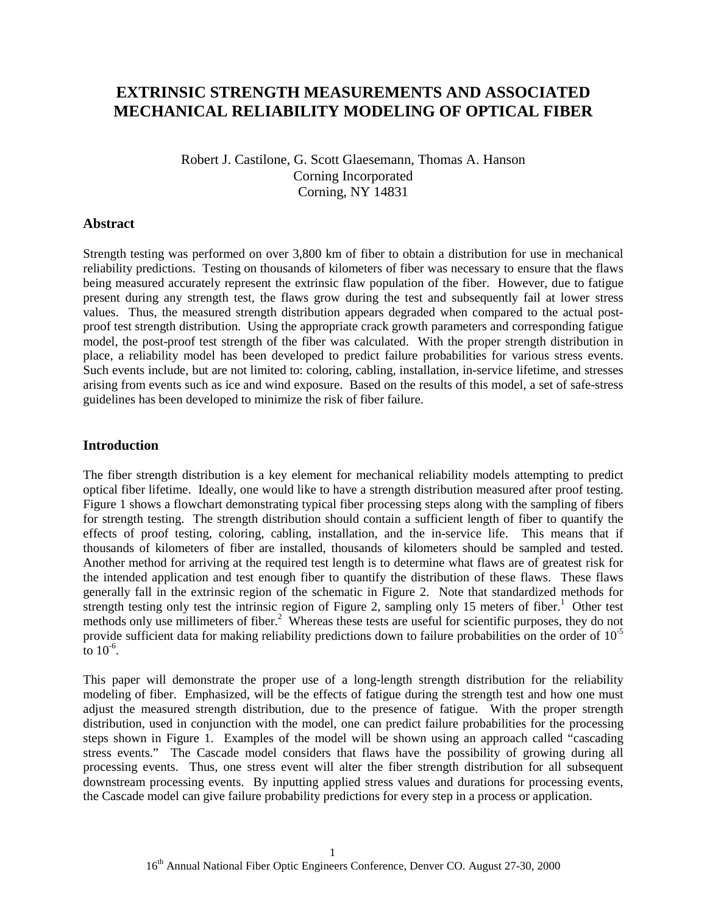# **EXTRINSIC STRENGTH MEASUREMENTS AND ASSOCIATED MECHANICAL RELIABILITY MODELING OF OPTICAL FIBER**

Robert J. Castilone, G. Scott Glaesemann, Thomas A. Hanson Corning Incorporated Corning, NY 14831

### **Abstract**

Strength testing was performed on over 3,800 km of fiber to obtain a distribution for use in mechanical reliability predictions. Testing on thousands of kilometers of fiber was necessary to ensure that the flaws being measured accurately represent the extrinsic flaw population of the fiber. However, due to fatigue present during any strength test, the flaws grow during the test and subsequently fail at lower stress values. Thus, the measured strength distribution appears degraded when compared to the actual postproof test strength distribution. Using the appropriate crack growth parameters and corresponding fatigue model, the post-proof test strength of the fiber was calculated. With the proper strength distribution in place, a reliability model has been developed to predict failure probabilities for various stress events. Such events include, but are not limited to: coloring, cabling, installation, in-service lifetime, and stresses arising from events such as ice and wind exposure. Based on the results of this model, a set of safe-stress guidelines has been developed to minimize the risk of fiber failure.

### **Introduction**

The fiber strength distribution is a key element for mechanical reliability models attempting to predict optical fiber lifetime. Ideally, one would like to have a strength distribution measured after proof testing. Figure 1 shows a flowchart demonstrating typical fiber processing steps along with the sampling of fibers for strength testing. The strength distribution should contain a sufficient length of fiber to quantify the effects of proof testing, coloring, cabling, installation, and the in-service life. This means that if thousands of kilometers of fiber are installed, thousands of kilometers should be sampled and tested. Another method for arriving at the required test length is to determine what flaws are of greatest risk for the intended application and test enough fiber to quantify the distribution of these flaws. These flaws generally fall in the extrinsic region of the schematic in Figure 2. Note that standardized methods for strength testing only test the intrinsic region of Figure 2, sampling only 15 meters of fiber.<sup>1</sup> Other test methods only use millimeters of fiber.<sup>2</sup> Whereas these tests are useful for scientific purposes, they do not provide sufficient data for making reliability predictions down to failure probabilities on the order of  $10^{-5}$ to  $10^{-6}$ .

This paper will demonstrate the proper use of a long-length strength distribution for the reliability modeling of fiber. Emphasized, will be the effects of fatigue during the strength test and how one must adjust the measured strength distribution, due to the presence of fatigue. With the proper strength distribution, used in conjunction with the model, one can predict failure probabilities for the processing steps shown in Figure 1. Examples of the model will be shown using an approach called "cascading stress events." The Cascade model considers that flaws have the possibility of growing during all processing events. Thus, one stress event will alter the fiber strength distribution for all subsequent downstream processing events. By inputting applied stress values and durations for processing events, the Cascade model can give failure probability predictions for every step in a process or application.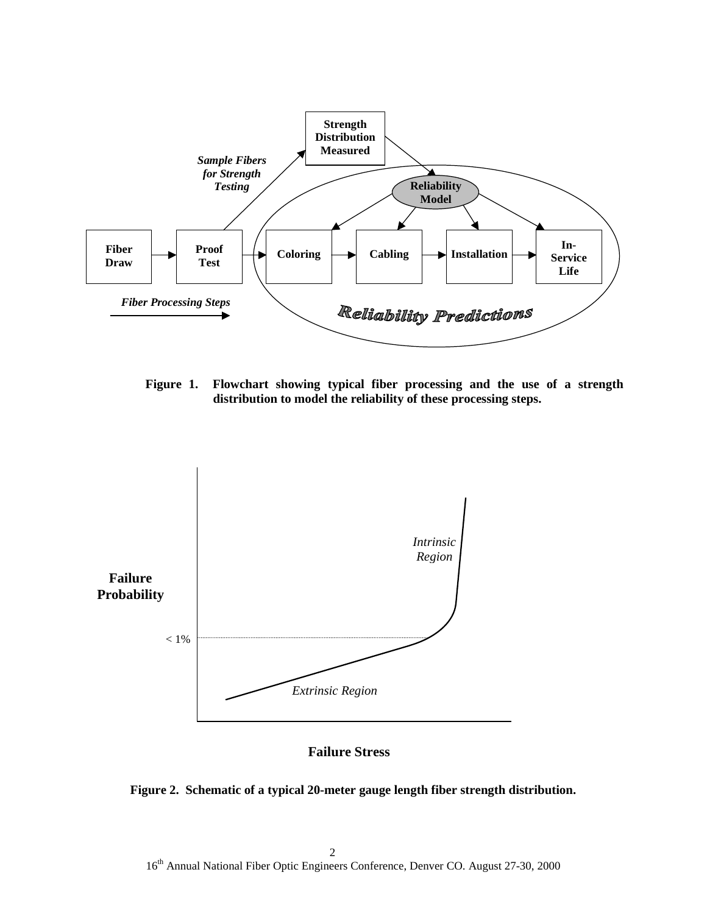

**Figure 1. Flowchart showing typical fiber processing and the use of a strength distribution to model the reliability of these processing steps.**



**Failure Stress**

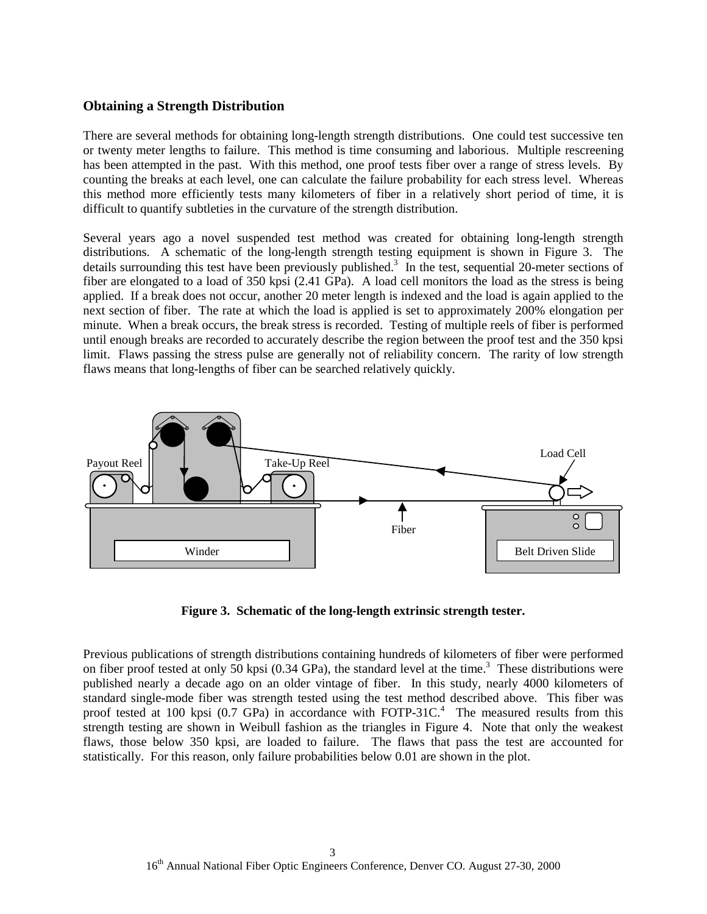### **Obtaining a Strength Distribution**

There are several methods for obtaining long-length strength distributions. One could test successive ten or twenty meter lengths to failure. This method is time consuming and laborious. Multiple rescreening has been attempted in the past. With this method, one proof tests fiber over a range of stress levels. By counting the breaks at each level, one can calculate the failure probability for each stress level. Whereas this method more efficiently tests many kilometers of fiber in a relatively short period of time, it is difficult to quantify subtleties in the curvature of the strength distribution.

Several years ago a novel suspended test method was created for obtaining long-length strength distributions. A schematic of the long-length strength testing equipment is shown in Figure 3. The details surrounding this test have been previously published.<sup>3</sup> In the test, sequential 20-meter sections of fiber are elongated to a load of 350 kpsi (2.41 GPa). A load cell monitors the load as the stress is being applied. If a break does not occur, another 20 meter length is indexed and the load is again applied to the next section of fiber. The rate at which the load is applied is set to approximately 200% elongation per minute. When a break occurs, the break stress is recorded. Testing of multiple reels of fiber is performed until enough breaks are recorded to accurately describe the region between the proof test and the 350 kpsi limit. Flaws passing the stress pulse are generally not of reliability concern. The rarity of low strength flaws means that long-lengths of fiber can be searched relatively quickly.



**Figure 3. Schematic of the long-length extrinsic strength tester.**

Previous publications of strength distributions containing hundreds of kilometers of fiber were performed on fiber proof tested at only 50 kpsi  $(0.34 \text{ GPa})$ , the standard level at the time.<sup>3</sup> These distributions were published nearly a decade ago on an older vintage of fiber. In this study, nearly 4000 kilometers of standard single-mode fiber was strength tested using the test method described above. This fiber was proof tested at 100 kpsi (0.7 GPa) in accordance with FOTP-31C.<sup>4</sup> The measured results from this strength testing are shown in Weibull fashion as the triangles in Figure 4. Note that only the weakest flaws, those below 350 kpsi, are loaded to failure. The flaws that pass the test are accounted for statistically. For this reason, only failure probabilities below 0.01 are shown in the plot.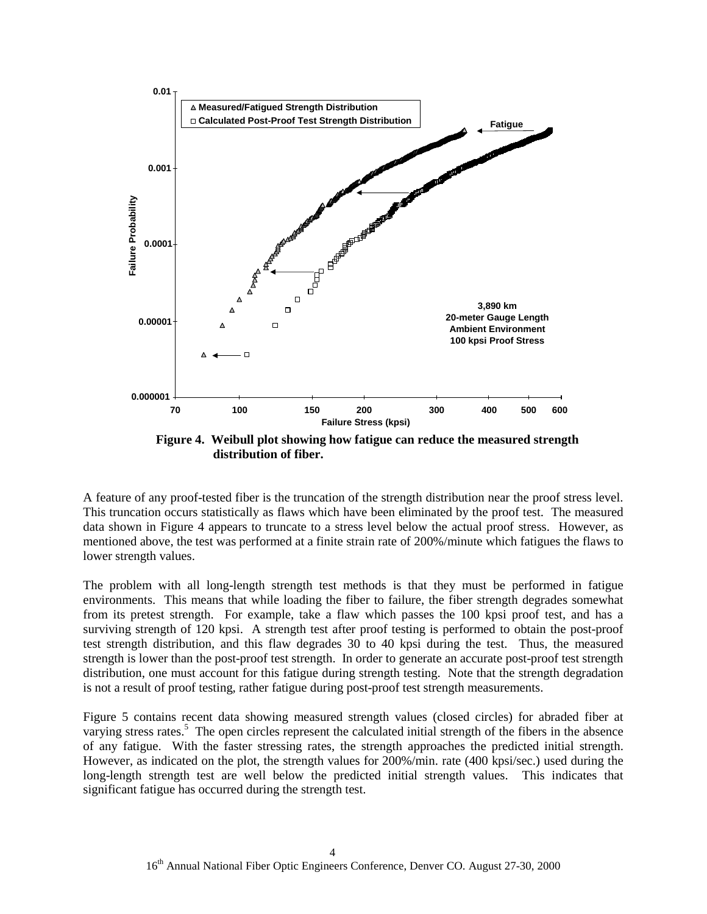

**distribution of fiber.**

A feature of any proof-tested fiber is the truncation of the strength distribution near the proof stress level. This truncation occurs statistically as flaws which have been eliminated by the proof test. The measured data shown in Figure 4 appears to truncate to a stress level below the actual proof stress. However, as mentioned above, the test was performed at a finite strain rate of 200%/minute which fatigues the flaws to lower strength values.

The problem with all long-length strength test methods is that they must be performed in fatigue environments. This means that while loading the fiber to failure, the fiber strength degrades somewhat from its pretest strength. For example, take a flaw which passes the 100 kpsi proof test, and has a surviving strength of 120 kpsi. A strength test after proof testing is performed to obtain the post-proof test strength distribution, and this flaw degrades 30 to 40 kpsi during the test. Thus, the measured strength is lower than the post-proof test strength. In order to generate an accurate post-proof test strength distribution, one must account for this fatigue during strength testing. Note that the strength degradation is not a result of proof testing, rather fatigue during post-proof test strength measurements.

Figure 5 contains recent data showing measured strength values (closed circles) for abraded fiber at varying stress rates.<sup>5</sup> The open circles represent the calculated initial strength of the fibers in the absence of any fatigue. With the faster stressing rates, the strength approaches the predicted initial strength. However, as indicated on the plot, the strength values for 200%/min. rate (400 kpsi/sec.) used during the long-length strength test are well below the predicted initial strength values. This indicates that significant fatigue has occurred during the strength test.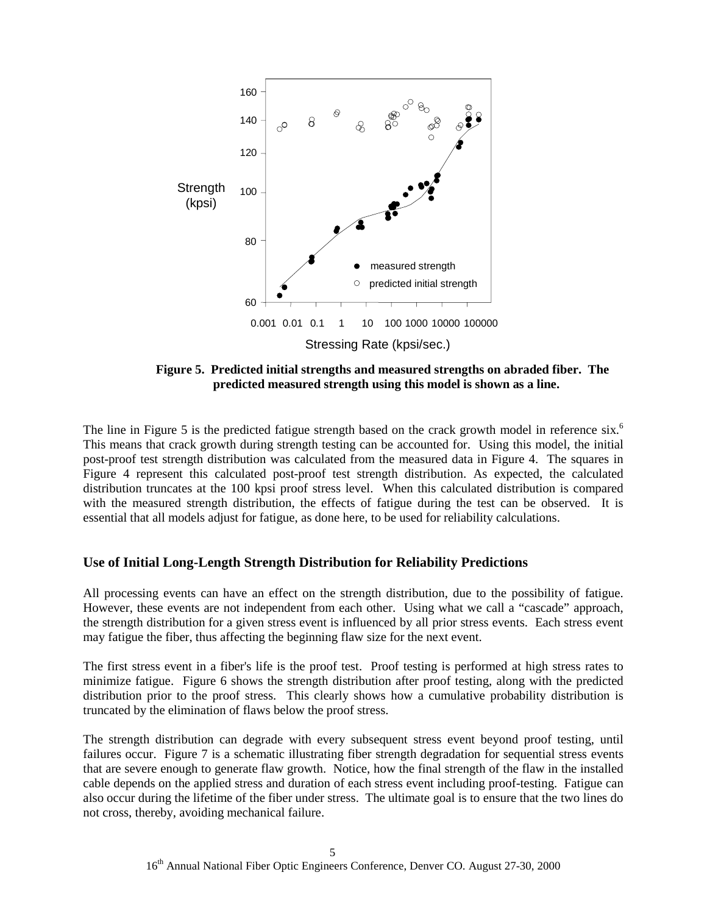

**Figure 5. Predicted initial strengths and measured strengths on abraded fiber. The predicted measured strength using this model is shown as a line.**

The line in Figure 5 is the predicted fatigue strength based on the crack growth model in reference six.<sup>6</sup> This means that crack growth during strength testing can be accounted for. Using this model, the initial post-proof test strength distribution was calculated from the measured data in Figure 4. The squares in Figure 4 represent this calculated post-proof test strength distribution. As expected, the calculated distribution truncates at the 100 kpsi proof stress level. When this calculated distribution is compared with the measured strength distribution, the effects of fatigue during the test can be observed. It is essential that all models adjust for fatigue, as done here, to be used for reliability calculations.

# **Use of Initial Long-Length Strength Distribution for Reliability Predictions**

All processing events can have an effect on the strength distribution, due to the possibility of fatigue. However, these events are not independent from each other. Using what we call a "cascade" approach, the strength distribution for a given stress event is influenced by all prior stress events. Each stress event may fatigue the fiber, thus affecting the beginning flaw size for the next event.

The first stress event in a fiber's life is the proof test. Proof testing is performed at high stress rates to minimize fatigue. Figure 6 shows the strength distribution after proof testing, along with the predicted distribution prior to the proof stress. This clearly shows how a cumulative probability distribution is truncated by the elimination of flaws below the proof stress.

The strength distribution can degrade with every subsequent stress event beyond proof testing, until failures occur. Figure 7 is a schematic illustrating fiber strength degradation for sequential stress events that are severe enough to generate flaw growth. Notice, how the final strength of the flaw in the installed cable depends on the applied stress and duration of each stress event including proof-testing. Fatigue can also occur during the lifetime of the fiber under stress. The ultimate goal is to ensure that the two lines do not cross, thereby, avoiding mechanical failure.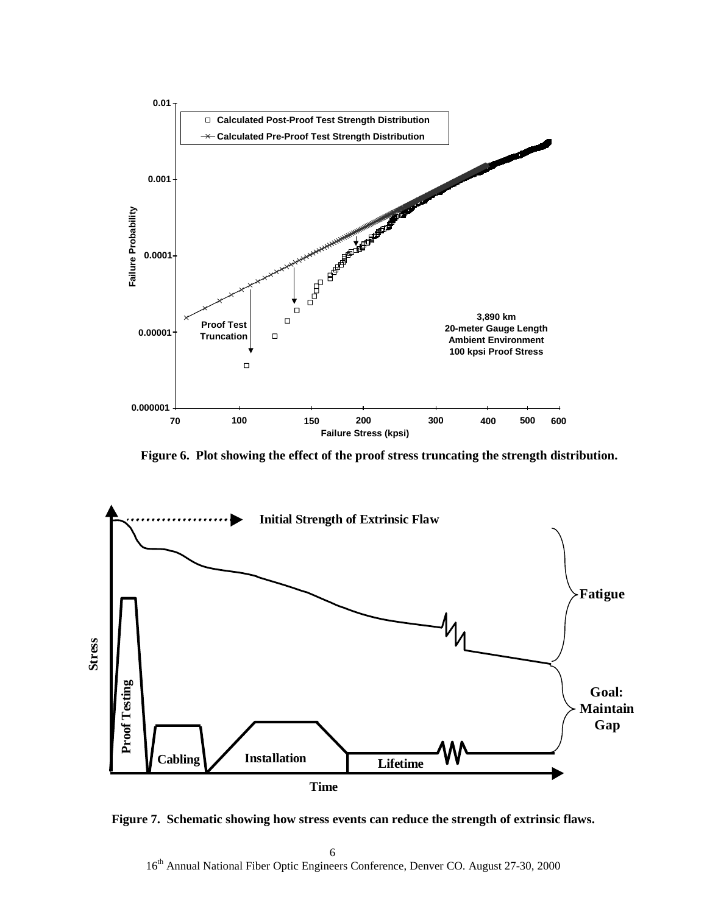

**Figure 6. Plot showing the effect of the proof stress truncating the strength distribution.**



**Figure 7. Schematic showing how stress events can reduce the strength of extrinsic flaws.**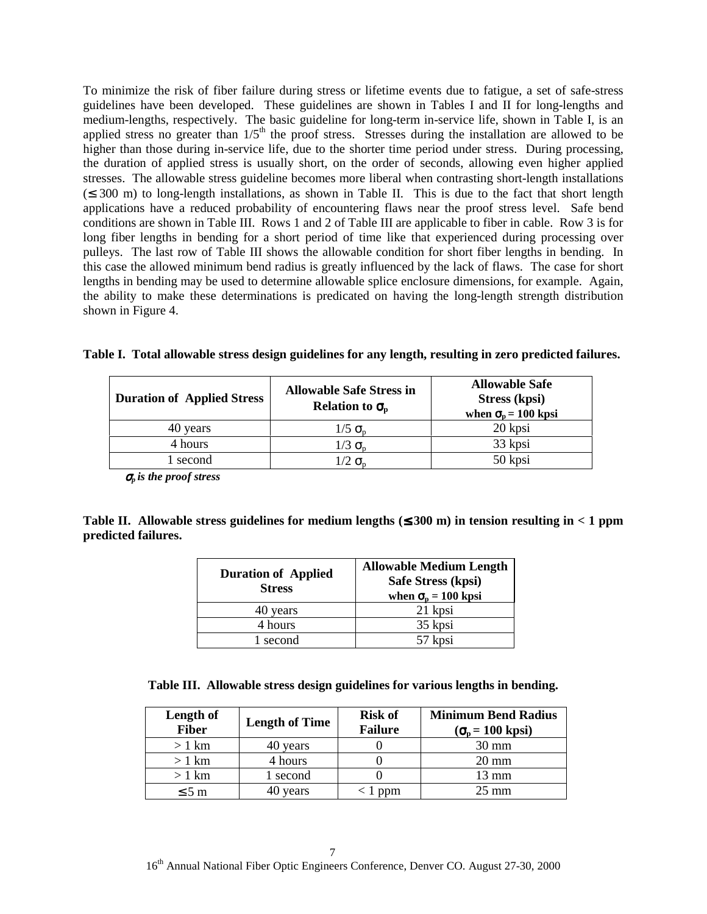To minimize the risk of fiber failure during stress or lifetime events due to fatigue, a set of safe-stress guidelines have been developed. These guidelines are shown in Tables I and II for long-lengths and medium-lengths, respectively. The basic guideline for long-term in-service life, shown in Table I, is an applied stress no greater than  $1/5<sup>th</sup>$  the proof stress. Stresses during the installation are allowed to be higher than those during in-service life, due to the shorter time period under stress. During processing, the duration of applied stress is usually short, on the order of seconds, allowing even higher applied stresses. The allowable stress guideline becomes more liberal when contrasting short-length installations  $(\leq 300 \text{ m})$  to long-length installations, as shown in Table II. This is due to the fact that short length applications have a reduced probability of encountering flaws near the proof stress level. Safe bend conditions are shown in Table III. Rows 1 and 2 of Table III are applicable to fiber in cable. Row 3 is for long fiber lengths in bending for a short period of time like that experienced during processing over pulleys. The last row of Table III shows the allowable condition for short fiber lengths in bending. In this case the allowed minimum bend radius is greatly influenced by the lack of flaws. The case for short lengths in bending may be used to determine allowable splice enclosure dimensions, for example. Again, the ability to make these determinations is predicated on having the long-length strength distribution shown in Figure 4.

|  |  |  |  |  | Table I. Total allowable stress design guidelines for any length, resulting in zero predicted failures. |
|--|--|--|--|--|---------------------------------------------------------------------------------------------------------|
|  |  |  |  |  |                                                                                                         |

| <b>Duration of Applied Stress</b> | <b>Allowable Safe Stress in</b><br>Relation to $\sigma_{\rm n}$ | <b>Allowable Safe</b><br>Stress (kpsi)<br>when $\sigma_{\rm n}$ = 100 kpsi |  |  |  |
|-----------------------------------|-----------------------------------------------------------------|----------------------------------------------------------------------------|--|--|--|
| 40 years                          | $1/5 \sigma_{\rm n}$                                            | 20 kpsi                                                                    |  |  |  |
| 4 hours                           | $1/3 \sigma_{\rm n}$                                            | 33 kpsi                                                                    |  |  |  |
| l second                          | $1/2$ $\sigma_{\rm n}$                                          | 50 kpsi                                                                    |  |  |  |

<sup>σ</sup>*p is the proof stress*

**Table II. Allowable stress guidelines for medium lengths (**≤ **300 m) in tension resulting in < 1 ppm predicted failures.**

| <b>Duration of Applied</b><br><b>Stress</b> | <b>Allowable Medium Length</b><br>Safe Stress (kpsi)<br>when $\sigma_{\rm n} = 100$ kpsi |  |  |  |  |
|---------------------------------------------|------------------------------------------------------------------------------------------|--|--|--|--|
| 40 years                                    | 21 kpsi                                                                                  |  |  |  |  |
| 4 hours                                     | 35 kpsi                                                                                  |  |  |  |  |
| second                                      | 57 kpsi                                                                                  |  |  |  |  |

| Table III. Allowable stress design guidelines for various lengths in bending. |  |  |  |
|-------------------------------------------------------------------------------|--|--|--|
|                                                                               |  |  |  |

| Length of<br><b>Fiber</b> | <b>Length of Time</b> | <b>Risk of</b><br><b>Failure</b> | <b>Minimum Bend Radius</b><br>$(\sigma_{p} = 100 \text{ kpsi})$ |  |  |
|---------------------------|-----------------------|----------------------------------|-----------------------------------------------------------------|--|--|
| $>1$ km                   | 40 years              |                                  | $30 \text{ mm}$                                                 |  |  |
| $>1$ km                   | 4 hours               |                                  | $20 \text{ mm}$                                                 |  |  |
| $>1$ km                   | 1 second              |                                  | 13 mm                                                           |  |  |
| $\leq 5$ m                | 40 years              | ppm                              | $25 \text{ mm}$                                                 |  |  |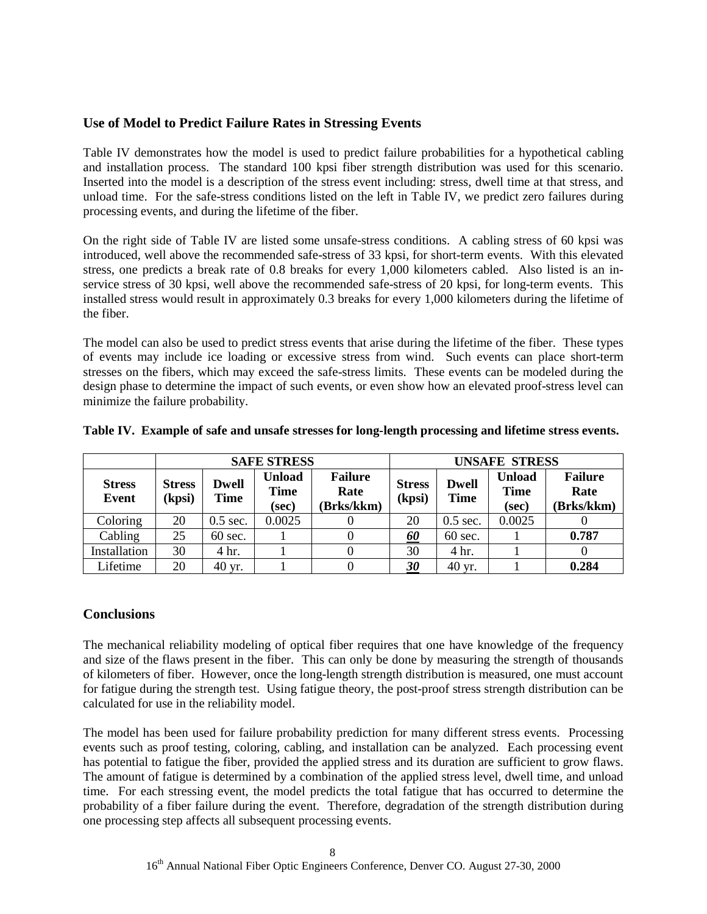# **Use of Model to Predict Failure Rates in Stressing Events**

Table IV demonstrates how the model is used to predict failure probabilities for a hypothetical cabling and installation process. The standard 100 kpsi fiber strength distribution was used for this scenario. Inserted into the model is a description of the stress event including: stress, dwell time at that stress, and unload time. For the safe-stress conditions listed on the left in Table IV, we predict zero failures during processing events, and during the lifetime of the fiber.

On the right side of Table IV are listed some unsafe-stress conditions. A cabling stress of 60 kpsi was introduced, well above the recommended safe-stress of 33 kpsi, for short-term events. With this elevated stress, one predicts a break rate of 0.8 breaks for every 1,000 kilometers cabled. Also listed is an inservice stress of 30 kpsi, well above the recommended safe-stress of 20 kpsi, for long-term events. This installed stress would result in approximately 0.3 breaks for every 1,000 kilometers during the lifetime of the fiber.

The model can also be used to predict stress events that arise during the lifetime of the fiber. These types of events may include ice loading or excessive stress from wind. Such events can place short-term stresses on the fibers, which may exceed the safe-stress limits. These events can be modeled during the design phase to determine the impact of such events, or even show how an elevated proof-stress level can minimize the failure probability.

|                        |                        |                      | <b>SAFE STRESS</b>                    |                                      | <b>UNSAFE STRESS</b>    |                             |                                       |                                      |
|------------------------|------------------------|----------------------|---------------------------------------|--------------------------------------|-------------------------|-----------------------------|---------------------------------------|--------------------------------------|
| <b>Stress</b><br>Event | <b>Stress</b><br>(kpsi | <b>Dwell</b><br>Time | <b>Unload</b><br><b>Time</b><br>(sec) | <b>Failure</b><br>Rate<br>(Brks/kkm) | <b>Stress</b><br>(kpsi) | <b>Dwell</b><br><b>Time</b> | <b>Unload</b><br><b>Time</b><br>(sec) | <b>Failure</b><br>Rate<br>(Brks/kkm) |
| Coloring               | 20                     | $0.5$ sec.           | 0.0025                                |                                      | 20                      | $0.5$ sec.                  | 0.0025                                |                                      |
| Cabling                | 25                     | $60$ sec.            |                                       |                                      | <u>60</u>               | $60$ sec.                   |                                       | 0.787                                |
| Installation           | 30                     | 4 hr.                |                                       |                                      | 30                      | 4 hr.                       |                                       |                                      |
| Lifetime               | 20                     | 40 yr.               |                                       |                                      | 30                      | 40 yr.                      |                                       | 0.284                                |

**Table IV. Example of safe and unsafe stresses for long-length processing and lifetime stress events.**

### **Conclusions**

The mechanical reliability modeling of optical fiber requires that one have knowledge of the frequency and size of the flaws present in the fiber. This can only be done by measuring the strength of thousands of kilometers of fiber. However, once the long-length strength distribution is measured, one must account for fatigue during the strength test. Using fatigue theory, the post-proof stress strength distribution can be calculated for use in the reliability model.

The model has been used for failure probability prediction for many different stress events. Processing events such as proof testing, coloring, cabling, and installation can be analyzed. Each processing event has potential to fatigue the fiber, provided the applied stress and its duration are sufficient to grow flaws. The amount of fatigue is determined by a combination of the applied stress level, dwell time, and unload time. For each stressing event, the model predicts the total fatigue that has occurred to determine the probability of a fiber failure during the event. Therefore, degradation of the strength distribution during one processing step affects all subsequent processing events.